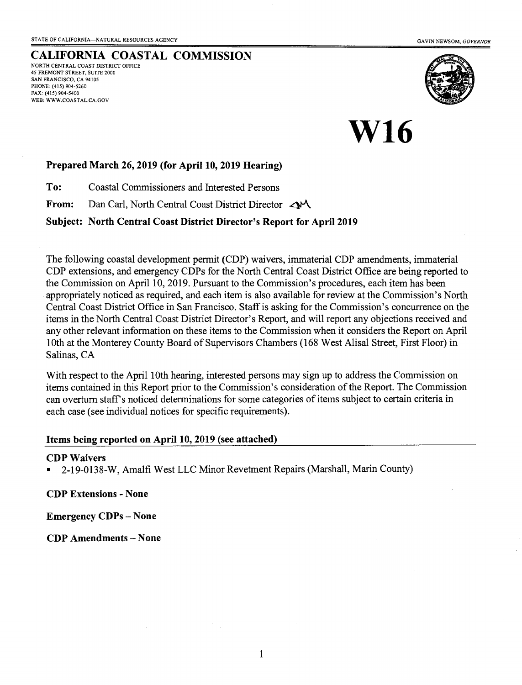CALIFORNIA COASTAL COMMISSION NORTH CENTRAL COAST DISTRICT OFFICE 45 FREMONT STREET, SUITE 2OOO SAN FRANCISCO, CA 94105 PHONE: (415) 904-5260 FAx: (415) 904-5400 WEB: WWW.COASTAL.CA.GOV



# W16

# Prepared March 26, 2019 (for April 10, 2019 Hearing)

To: Coastal Commissioners and Interested Persons

From: Dan Carl, North Central Coast District Director  $\lll$ 

# Subject: North Central Coast District Director's Report for April 2019

The following coastal development permit (CDP) waivers, immaterial CDP amendments, immaterial CDP extensions, and emergency CDPs for the North Central Coast Distict Office are being reported to the Commission on April 10, 2019. Pursuant to the Commission's procedures, each item has been appropriately noticed as required, and each item is also available for review at the Commission's North Central Coast District Office in San Francisco. Staff is asking for the Commission's concurrence on the items in the North Central Coast District Director's Report, and will report any objections received and any other relevant information on these items to the Commission when it considers the Report on April 1Oth at the Monterey County Board of Supervisors Chambers (168 West Alisal Street, First Floor) in Salinas, CA

With respect to the April 10th hearing, interested persons may sign up to address the Commission on items contained in this Report prior to the Commission's consideration of the Report. The Commission can overturn staff's noticed determinations for some categories of items subject to certain criteria in each case (see individual notices for specific requirements).

## Items being reported on April 10, 2019 (see attached)

### CDP Waivers

. 2-19-0138-W, Amalfi West LLC Minor Revetnent Repairs (Marshall, Marin County)

CDP Extensions - None

Emergency CDPs - None

CDP Amendments - None